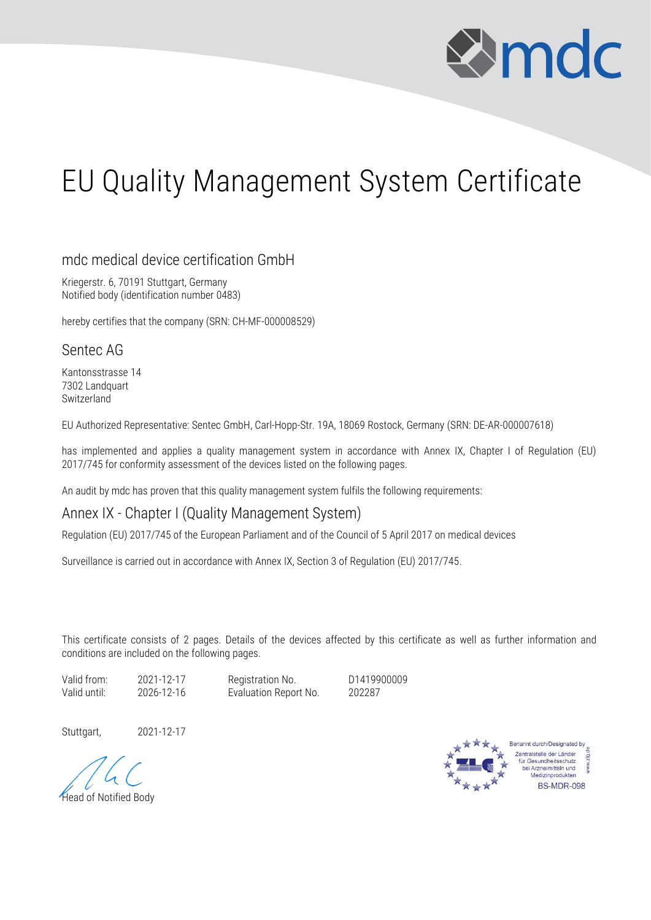

## EU Quality Management System Certificate

## mdc medical device certification GmbH

Kriegerstr. 6, 70191 Stuttgart, Germany Notified body (identification number 0483)

hereby certifies that the company (SRN: CH-MF-000008529)

## Sentec AG

Kantonsstrasse 14 7302 Landquart Switzerland

EU Authorized Representative: Sentec GmbH, Carl-Hopp-Str. 19A, 18069 Rostock, Germany (SRN: DE-AR-000007618)

has implemented and applies a quality management system in accordance with Annex IX, Chapter I of Regulation (EU) 2017/745 for conformity assessment of the devices listed on the following pages.

An audit by mdc has proven that this quality management system fulfils the following requirements:

## Annex IX - Chapter I (Quality Management System)

Regulation (EU) 2017/745 of the European Parliament and of the Council of 5 April 2017 on medical devices

Surveillance is carried out in accordance with Annex IX, Section 3 of Regulation (EU) 2017/745.

This certificate consists of 2 pages. Details of the devices affected by this certificate as well as further information and conditions are included on the following pages.

Valid from: 2021-12-17 Registration No. D1419900009

Valid until: 2026-12-16 Evaluation Report No. 202287

Stuttgart, 2021-12-17



Head of Notified Body